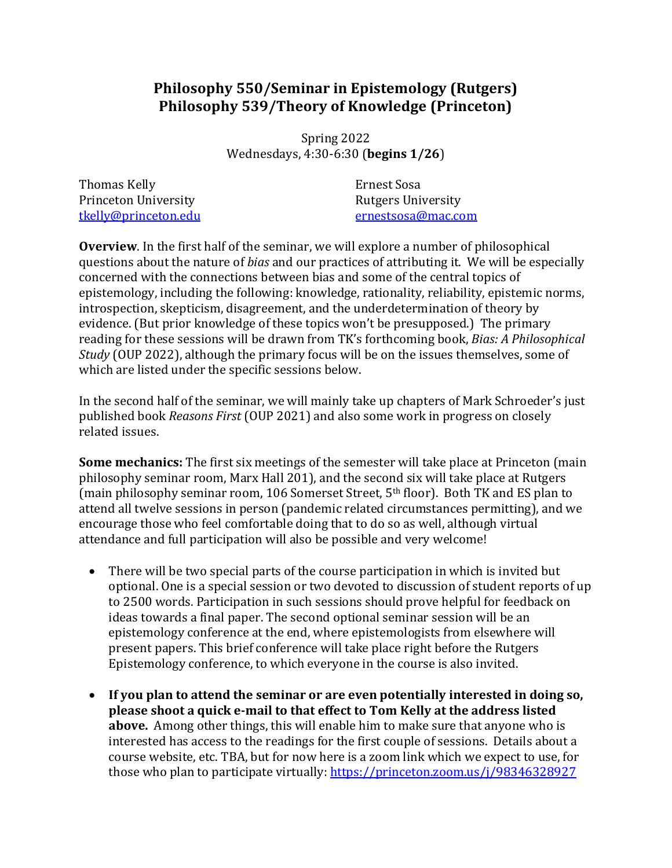# **Philosophy 550/Seminar in Epistemology (Rutgers) Philosophy 539/Theory of Knowledge (Princeton)**

Spring 2022 Wednesdays, 4:30-6:30 (**begins 1/26**)

Thomas Kelly Princeton University tkelly@princeton.edu Ernest Sosa Rutgers University ernestsosa@mac.com

**Overview**. In the first half of the seminar, we will explore a number of philosophical questions about the nature of *bias* and our practices of attributing it. We will be especially concerned with the connections between bias and some of the central topics of epistemology, including the following: knowledge, rationality, reliability, epistemic norms, introspection, skepticism, disagreement, and the underdetermination of theory by evidence. (But prior knowledge of these topics won't be presupposed.) The primary reading for these sessions will be drawn from TK's forthcoming book, *Bias: A Philosophical Study* (OUP 2022), although the primary focus will be on the issues themselves, some of which are listed under the specific sessions below.

In the second half of the seminar, we will mainly take up chapters of Mark Schroeder's just published book *Reasons First* (OUP 2021) and also some work in progress on closely related issues.

**Some mechanics:** The first six meetings of the semester will take place at Princeton (main philosophy seminar room, Marx Hall 201), and the second six will take place at Rutgers (main philosophy seminar room, 106 Somerset Street,  $5<sup>th</sup>$  floor). Both TK and ES plan to attend all twelve sessions in person (pandemic related circumstances permitting), and we encourage those who feel comfortable doing that to do so as well, although virtual attendance and full participation will also be possible and very welcome!

- There will be two special parts of the course participation in which is invited but optional. One is a special session or two devoted to discussion of student reports of up to 2500 words. Participation in such sessions should prove helpful for feedback on ideas towards a final paper. The second optional seminar session will be an epistemology conference at the end, where epistemologists from elsewhere will present papers. This brief conference will take place right before the Rutgers Epistemology conference, to which everyone in the course is also invited.
- If you plan to attend the seminar or are even potentially interested in doing so, **please shoot a quick e-mail to that effect to Tom Kelly at the address listed above.** Among other things, this will enable him to make sure that anyone who is interested has access to the readings for the first couple of sessions. Details about a course website, etc. TBA, but for now here is a zoom link which we expect to use, for those who plan to participate virtually: https://princeton.zoom.us/j/98346328927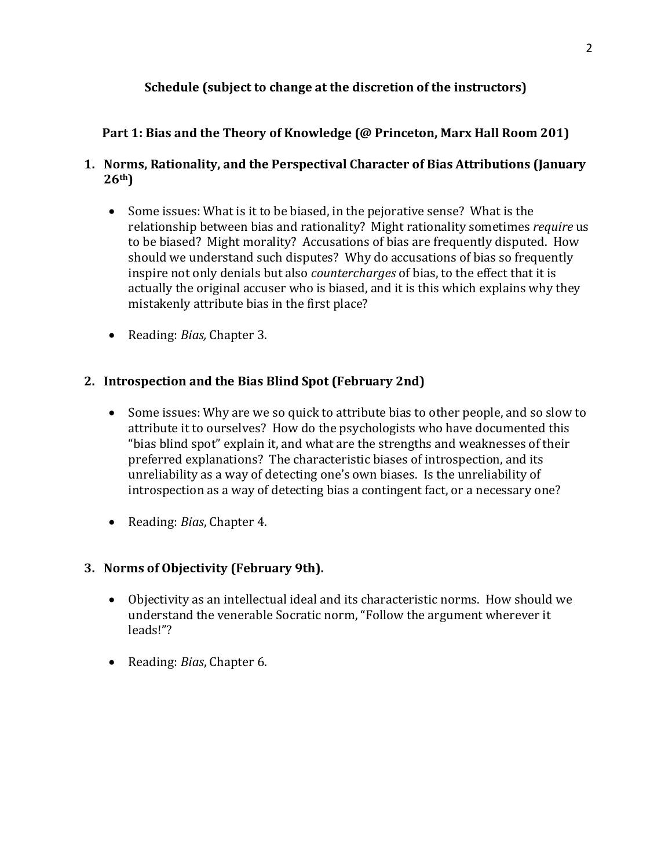## **Schedule (subject to change at the discretion of the instructors)**

### **Part 1: Bias and the Theory of Knowledge (@ Princeton, Marx Hall Room 201)**

### **1. Norms, Rationality, and the Perspectival Character of Bias Attributions (January 26th)**

- Some issues: What is it to be biased, in the pejorative sense? What is the relationship between bias and rationality? Might rationality sometimes *require* us to be biased? Might morality? Accusations of bias are frequently disputed. How should we understand such disputes? Why do accusations of bias so frequently inspire not only denials but also *countercharges* of bias, to the effect that it is actually the original accuser who is biased, and it is this which explains why they mistakenly attribute bias in the first place?
- Reading: *Bias*, Chapter 3.

### **2. Introspection and the Bias Blind Spot (February 2nd)**

- Some issues: Why are we so quick to attribute bias to other people, and so slow to attribute it to ourselves? How do the psychologists who have documented this "bias blind spot" explain it, and what are the strengths and weaknesses of their preferred explanations? The characteristic biases of introspection, and its unreliability as a way of detecting one's own biases. Is the unreliability of introspection as a way of detecting bias a contingent fact, or a necessary one?
- Reading: *Bias*, Chapter 4.

### **3. Norms of Objectivity (February 9th).**

- Objectivity as an intellectual ideal and its characteristic norms. How should we understand the venerable Socratic norm, "Follow the argument wherever it leads!"?
- Reading: *Bias*, Chapter 6.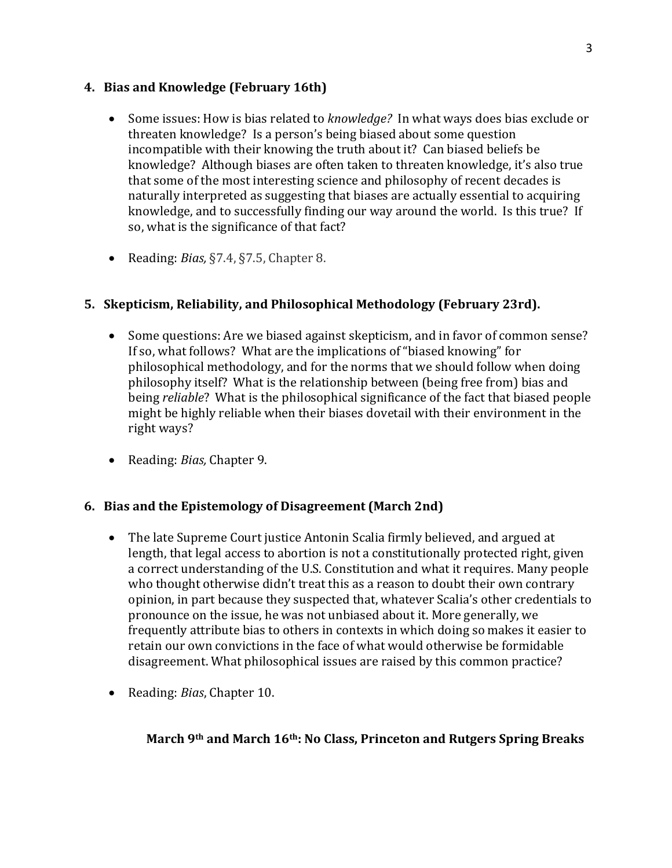### **4.** Bias and Knowledge (February 16th)

- Some issues: How is bias related to *knowledge?* In what ways does bias exclude or threaten knowledge? Is a person's being biased about some question incompatible with their knowing the truth about it? Can biased beliefs be knowledge? Although biases are often taken to threaten knowledge, it's also true that some of the most interesting science and philosophy of recent decades is naturally interpreted as suggesting that biases are actually essential to acquiring knowledge, and to successfully finding our way around the world. Is this true? If so, what is the significance of that fact?
- Reading: *Bias*, §7.4, §7.5, Chapter 8.

### **5. Skepticism, Reliability, and Philosophical Methodology (February 23rd).**

- Some questions: Are we biased against skepticism, and in favor of common sense? If so, what follows? What are the implications of "biased knowing" for philosophical methodology, and for the norms that we should follow when doing philosophy itself? What is the relationship between (being free from) bias and being *reliable*? What is the philosophical significance of the fact that biased people might be highly reliable when their biases dovetail with their environment in the right ways?
- Reading: *Bias*, Chapter 9.

### **6.** Bias and the Epistemology of Disagreement (March 2nd)

- The late Supreme Court justice Antonin Scalia firmly believed, and argued at length, that legal access to abortion is not a constitutionally protected right, given a correct understanding of the U.S. Constitution and what it requires. Many people who thought otherwise didn't treat this as a reason to doubt their own contrary opinion, in part because they suspected that, whatever Scalia's other credentials to pronounce on the issue, he was not unbiased about it. More generally, we frequently attribute bias to others in contexts in which doing so makes it easier to retain our own convictions in the face of what would otherwise be formidable disagreement. What philosophical issues are raised by this common practice?
- Reading: *Bias*, Chapter 10.

### **March 9th and March 16th: No Class, Princeton and Rutgers Spring Breaks**